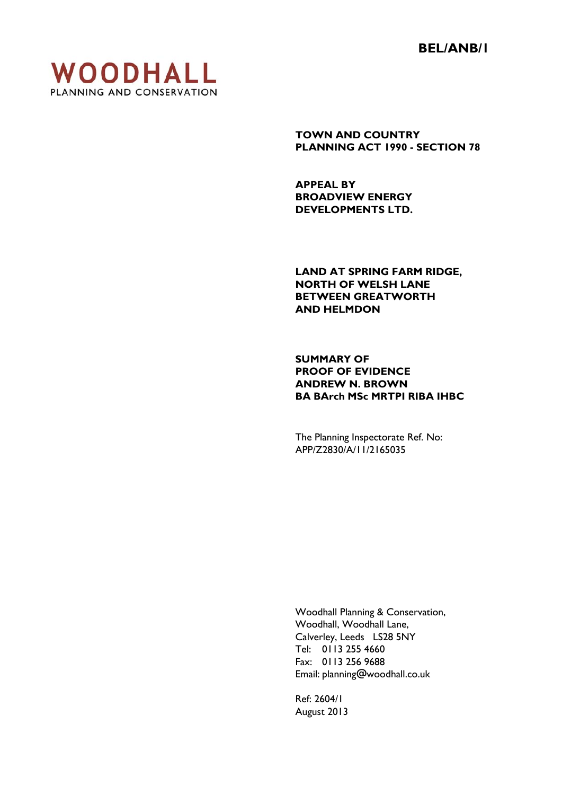**BEL/ANB/1** 



**TOWN AND COUNTRY PLANNING ACT 1990 - SECTION 78** 

**APPEAL BY BROADVIEW ENERGY DEVELOPMENTS LTD.** 

**LAND AT SPRING FARM RIDGE, NORTH OF WELSH LANE BETWEEN GREATWORTH AND HELMDON** 

**SUMMARY OF PROOF OF EVIDENCE ANDREW N. BROWN BA BArch MSc MRTPI RIBA IHBC** 

The Planning Inspectorate Ref. No: APP/Z2830/A/11/2165035

 Woodhall Planning & Conservation, Woodhall, Woodhall Lane, Calverley, Leeds LS28 5NY Tel: 0113 255 4660 Fax: 0113 256 9688 Email: planning@woodhall.co.uk

 Ref: 2604/1 August 2013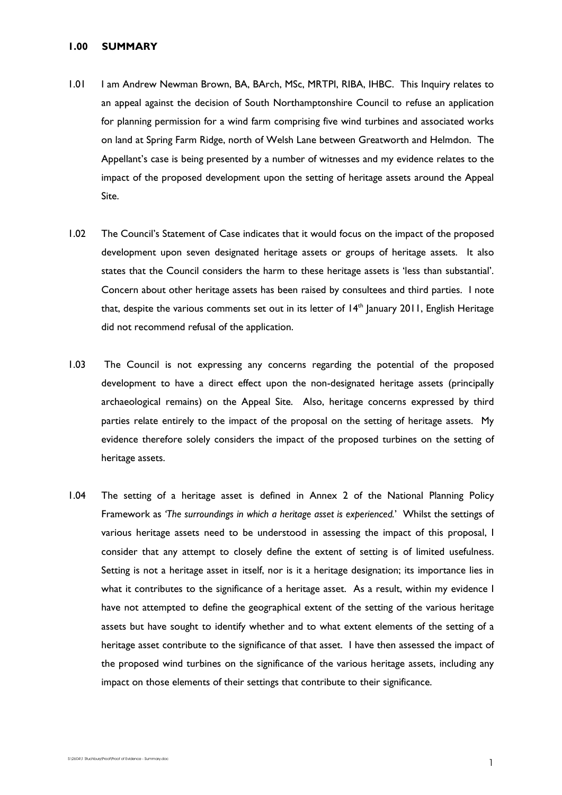## **1.00 SUMMARY**

- 1.01 I am Andrew Newman Brown, BA, BArch, MSc, MRTPI, RIBA, IHBC. This Inquiry relates to an appeal against the decision of South Northamptonshire Council to refuse an application for planning permission for a wind farm comprising five wind turbines and associated works on land at Spring Farm Ridge, north of Welsh Lane between Greatworth and Helmdon. The Appellant's case is being presented by a number of witnesses and my evidence relates to the impact of the proposed development upon the setting of heritage assets around the Appeal Site.
- 1.02 The Council's Statement of Case indicates that it would focus on the impact of the proposed development upon seven designated heritage assets or groups of heritage assets. It also states that the Council considers the harm to these heritage assets is 'less than substantial'. Concern about other heritage assets has been raised by consultees and third parties. I note that, despite the various comments set out in its letter of 14<sup>th</sup> January 2011, English Heritage did not recommend refusal of the application.
- 1.03 The Council is not expressing any concerns regarding the potential of the proposed development to have a direct effect upon the non-designated heritage assets (principally archaeological remains) on the Appeal Site. Also, heritage concerns expressed by third parties relate entirely to the impact of the proposal on the setting of heritage assets. My evidence therefore solely considers the impact of the proposed turbines on the setting of heritage assets.
- 1.04 The setting of a heritage asset is defined in Annex 2 of the National Planning Policy Framework as *'The surroundings in which a heritage asset is experienced.*' Whilst the settings of various heritage assets need to be understood in assessing the impact of this proposal, I consider that any attempt to closely define the extent of setting is of limited usefulness. Setting is not a heritage asset in itself, nor is it a heritage designation; its importance lies in what it contributes to the significance of a heritage asset. As a result, within my evidence I have not attempted to define the geographical extent of the setting of the various heritage assets but have sought to identify whether and to what extent elements of the setting of a heritage asset contribute to the significance of that asset. I have then assessed the impact of the proposed wind turbines on the significance of the various heritage assets, including any impact on those elements of their settings that contribute to their significance.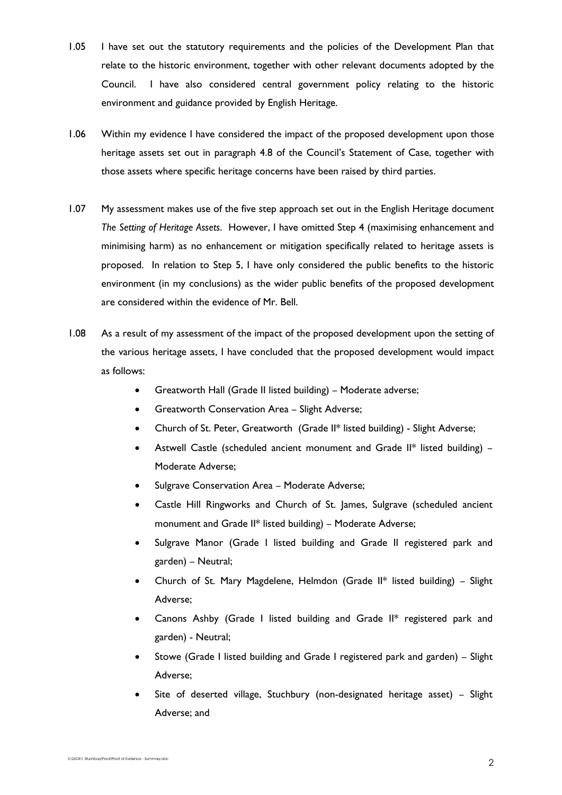- 1.05 I have set out the statutory requirements and the policies of the Development Plan that relate to the historic environment, together with other relevant documents adopted by the Council. I have also considered central government policy relating to the historic environment and guidance provided by English Heritage.
- 1.06 Within my evidence I have considered the impact of the proposed development upon those heritage assets set out in paragraph 4.8 of the Council's Statement of Case, together with those assets where specific heritage concerns have been raised by third parties.
- 1.07 My assessment makes use of the five step approach set out in the English Heritage document *The Setting of Heritage Assets*. However, I have omitted Step 4 (maximising enhancement and minimising harm) as no enhancement or mitigation specifically related to heritage assets is proposed. In relation to Step 5, I have only considered the public benefits to the historic environment (in my conclusions) as the wider public benefits of the proposed development are considered within the evidence of Mr. Bell.
- 1.08 As a result of my assessment of the impact of the proposed development upon the setting of the various heritage assets, I have concluded that the proposed development would impact as follows:
	- Greatworth Hall (Grade II listed building) Moderate adverse;
	- Greatworth Conservation Area Slight Adverse;
	- Church of St. Peter, Greatworth (Grade II\* listed building) Slight Adverse;
	- Astwell Castle (scheduled ancient monument and Grade II\* listed building) Moderate Adverse;
	- Sulgrave Conservation Area Moderate Adverse;
	- Castle Hill Ringworks and Church of St. James, Sulgrave (scheduled ancient monument and Grade II\* listed building) – Moderate Adverse;
	- Sulgrave Manor (Grade I listed building and Grade II registered park and garden) – Neutral;
	- Church of St. Mary Magdelene, Helmdon (Grade II\* listed building) Slight Adverse;
	- Canons Ashby (Grade I listed building and Grade II\* registered park and garden) - Neutral;
	- Stowe (Grade I listed building and Grade I registered park and garden) Slight Adverse;
	- Site of deserted village, Stuchbury (non-designated heritage asset) Slight Adverse; and